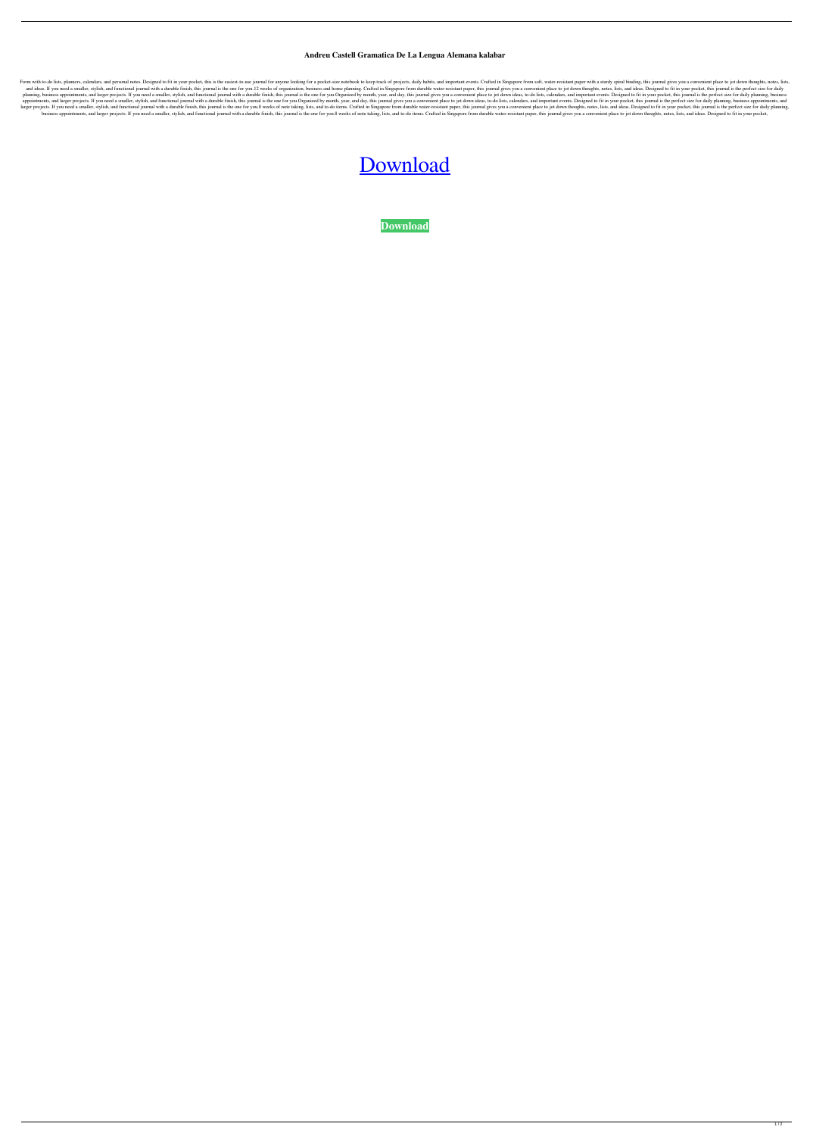## **Andreu Castell Gramatica De La Lengua Alemana kalabar**

Form with to-do lists, planners, calendars, and personal notes. Designed to fit in your pocket, this is the easiest-to-use journal for anyone looking for a pocket-size notebook to keep track of projects, daily habits, and and ideas. If you need a smaller, stylish, and functional journal with a durable finish, this journal is the one for you.12 weeks of organization, business and home planning. Crafted in Singapore from durable water-resista planning, business appointments, and larger projects. If you need a smaller, stylish, and functional journal with a durable finish, this journal is the one for you.Organized by month, year, and day, this journal gives you appointments, and larger projects. If you need a smaller, stylish, and functional journal with a durable finish, this journal is the one for you. Organized by month, year, and day, this journal gives you a convenient place larger projects. If you need a smaller, stylish, and functional journal with a durable finish, this journal is the one for you.8 weeks of note taking, lists, and to-do items. Crafted in Singapore from durable water-resista business appointments, and larger projects. If you need a smaller, stylish, and functional journal with a durable finish, this journal is the one for you.8 weeks of note taking, lists, and to-do items. Crafted in Singapore

## [Download](http://evacdir.com/linde/nutrientsindw/sparklers/ZG93bmxvYWR8OUZMYVdoM2ZId3hOalV5TkRZek1EVXdmSHd5TlRjMGZId29UU2tnY21WaFpDMWliRzluSUZ0R1lYTjBJRWRGVGww/?seidelman&tournament=QW5kcmV1IENhc3RlbGwgR3JhbWF0aWNhIERlIExhIExlbmd1YSBBbGVtYW5hQW5=misers)

**[Download](http://evacdir.com/linde/nutrientsindw/sparklers/ZG93bmxvYWR8OUZMYVdoM2ZId3hOalV5TkRZek1EVXdmSHd5TlRjMGZId29UU2tnY21WaFpDMWliRzluSUZ0R1lYTjBJRWRGVGww/?seidelman&tournament=QW5kcmV1IENhc3RlbGwgR3JhbWF0aWNhIERlIExhIExlbmd1YSBBbGVtYW5hQW5=misers)**